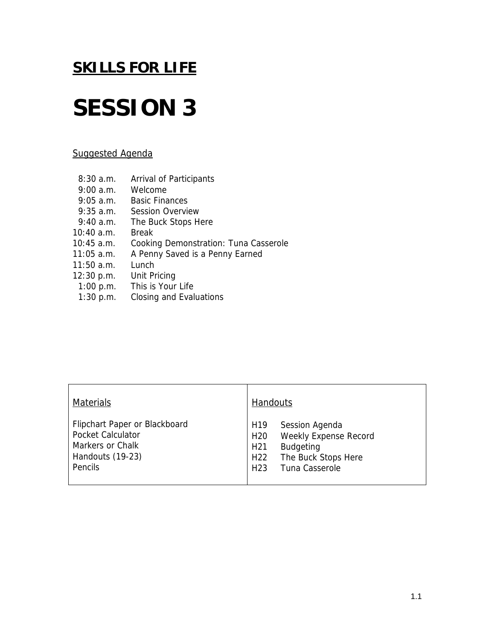## **SESSION 3**

#### Suggested Agenda

- 8:30 a.m. Arrival of Participants
- 9:00 a.m. Welcome
- 9:05 a.m. Basic Finances
- 9:35 a.m. Session Overview
- 9:40 a.m. The Buck Stops Here
- 10:40 a.m. Break
- 10:45 a.m. Cooking Demonstration: Tuna Casserole
- 11:05 a.m. A Penny Saved is a Penny Earned
- 11:50 a.m. Lunch
- 12:30 p.m. Unit Pricing
- 1:00 p.m. This is Your Life
- 1:30 p.m. Closing and Evaluations

| <b>Materials</b>                                                                                             | Handouts                                                                                                                                                                                            |
|--------------------------------------------------------------------------------------------------------------|-----------------------------------------------------------------------------------------------------------------------------------------------------------------------------------------------------|
| Flipchart Paper or Blackboard<br><b>Pocket Calculator</b><br>Markers or Chalk<br>Handouts (19-23)<br>Pencils | H <sub>19</sub><br>Session Agenda<br>Weekly Expense Record<br>H <sub>20</sub><br><b>Budgeting</b><br>H <sub>21</sub><br>The Buck Stops Here<br>H <sub>22</sub><br>Tuna Casserole<br>H <sub>23</sub> |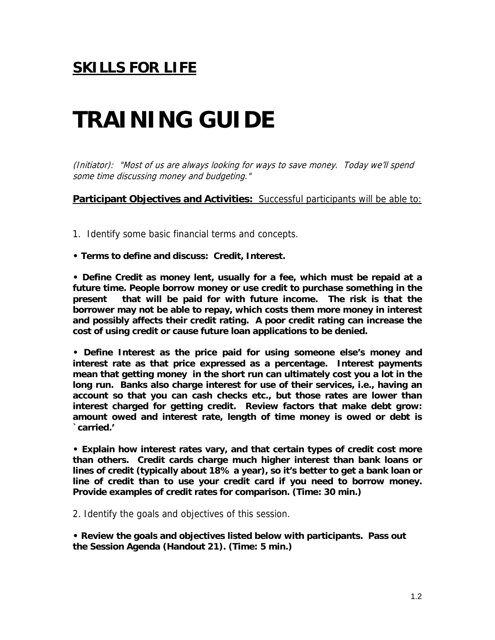# **TRAINING GUIDE**

(Initiator): "Most of us are always looking for ways to save money. Today we'll spend some time discussing money and budgeting."

**Participant Objectives and Activities:** Successful participants will be able to:

1. Identify some basic financial terms and concepts.

**• Terms to define and discuss: Credit, Interest.** 

**• Define Credit as money lent, usually for a fee, which must be repaid at a future time. People borrow money or use credit to purchase something in the present that will be paid for with future income. The risk is that the borrower may not be able to repay, which costs them more money in interest and possibly affects their credit rating. A poor credit rating can increase the cost of using credit or cause future loan applications to be denied.** 

**• Define Interest as the price paid for using someone else's money and interest rate as that price expressed as a percentage. Interest payments mean that getting money in the short run can ultimately cost you a lot in the long run. Banks also charge interest for use of their services, i.e., having an account so that you can cash checks etc., but those rates are lower than interest charged for getting credit. Review factors that make debt grow: amount owed and interest rate, length of time money is owed or debt is `carried.'** 

**• Explain how interest rates vary, and that certain types of credit cost more than others. Credit cards charge much higher interest than bank loans or lines of credit (typically about 18% a year), so it's better to get a bank loan or line of credit than to use your credit card if you need to borrow money. Provide examples of credit rates for comparison. (Time: 30 min.)** 

2. Identify the goals and objectives of this session.

**• Review the goals and objectives listed below with participants. Pass out the Session Agenda (Handout 21). (Time: 5 min.)**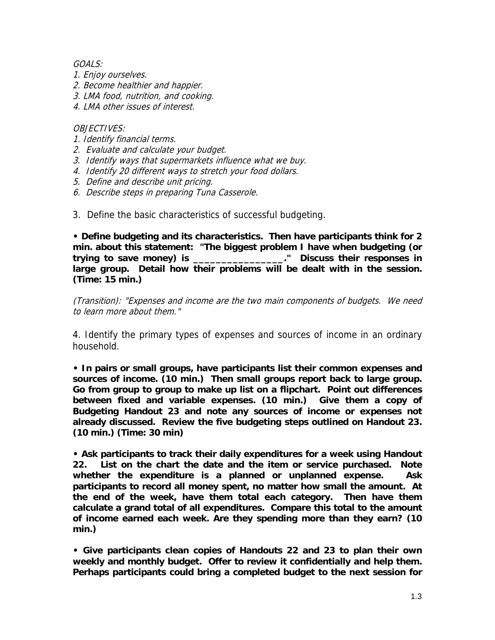GOALS:

- 1. Enjoy ourselves.
- 2. Become healthier and happier.
- 3. LMA food, nutrition, and cooking.
- 4. LMA other issues of interest.

#### OBJECTIVES:

- 1. Identify financial terms.
- 2. Evaluate and calculate your budget.
- 3. Identify ways that supermarkets influence what we buy.
- 4. Identify 20 different ways to stretch your food dollars.
- 5. Define and describe unit pricing.
- 6. Describe steps in preparing Tuna Casserole.

3. Define the basic characteristics of successful budgeting.

**• Define budgeting and its characteristics. Then have participants think for 2 min. about this statement: "The biggest problem I have when budgeting (or trying to save money) is \_\_\_\_\_\_\_\_\_\_\_\_\_\_\_\_." Discuss their responses in large group. Detail how their problems will be dealt with in the session. (Time: 15 min.)** 

(Transition): "Expenses and income are the two main components of budgets. We need to learn more about them."

4. Identify the primary types of expenses and sources of income in an ordinary household.

**• In pairs or small groups, have participants list their common expenses and sources of income. (10 min.) Then small groups report back to large group. Go from group to group to make up list on a flipchart. Point out differences between fixed and variable expenses. (10 min.) Give them a copy of Budgeting Handout 23 and note any sources of income or expenses not already discussed. Review the five budgeting steps outlined on Handout 23. (10 min.) (Time: 30 min)** 

**• Ask participants to track their daily expenditures for a week using Handout 22. List on the chart the date and the item or service purchased. Note whether the expenditure is a planned or unplanned expense. Ask participants to record all money spent, no matter how small the amount. At the end of the week, have them total each category. Then have them calculate a grand total of all expenditures. Compare this total to the amount of income earned each week. Are they spending more than they earn? (10 min.)** 

**• Give participants clean copies of Handouts 22 and 23 to plan their own weekly and monthly budget. Offer to review it confidentially and help them. Perhaps participants could bring a completed budget to the next session for**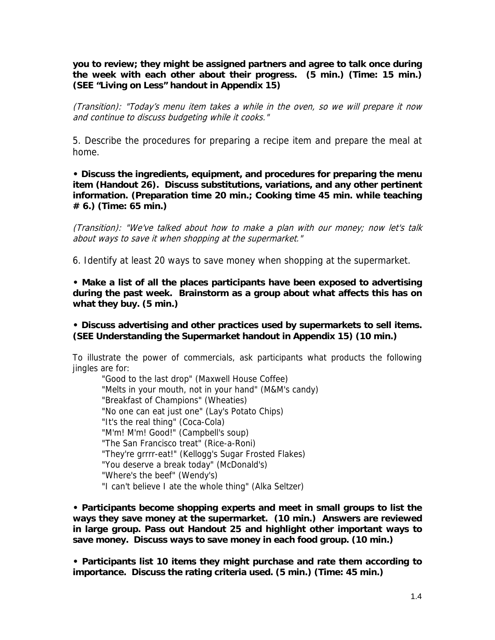**you to review; they might be assigned partners and agree to talk once during the week with each other about their progress. (5 min.) (Time: 15 min.) (SEE "Living on Less" handout in Appendix 15)** 

(Transition): "Today's menu item takes a while in the oven, so we will prepare it now and continue to discuss budgeting while it cooks."

5. Describe the procedures for preparing a recipe item and prepare the meal at home.

**• Discuss the ingredients, equipment, and procedures for preparing the menu item (Handout 26). Discuss substitutions, variations, and any other pertinent information. (Preparation time 20 min.; Cooking time 45 min. while teaching # 6.) (Time: 65 min.)** 

(Transition): "We've talked about how to make a plan with our money; now let's talk about ways to save it when shopping at the supermarket."

6. Identify at least 20 ways to save money when shopping at the supermarket.

**• Make a list of all the places participants have been exposed to advertising during the past week. Brainstorm as a group about what affects this has on what they buy. (5 min.)** 

**• Discuss advertising and other practices used by supermarkets to sell items. (SEE Understanding the Supermarket handout in Appendix 15) (10 min.)** 

To illustrate the power of commercials, ask participants what products the following jingles are for:

"Good to the last drop" (Maxwell House Coffee) "Melts in your mouth, not in your hand" (M&M's candy) "Breakfast of Champions" (Wheaties) "No one can eat just one" (Lay's Potato Chips) "It's the real thing" (Coca-Cola) "M'm! M'm! Good!" (Campbell's soup) "The San Francisco treat" (Rice-a-Roni) "They're grrrr-eat!" (Kellogg's Sugar Frosted Flakes) "You deserve a break today" (McDonald's) "Where's the beef" (Wendy's) "I can't believe I ate the whole thing" (Alka Seltzer)

**• Participants become shopping experts and meet in small groups to list the ways they save money at the supermarket. (10 min.) Answers are reviewed in large group. Pass out Handout 25 and highlight other important ways to save money. Discuss ways to save money in each food group. (10 min.)** 

**• Participants list 10 items they might purchase and rate them according to importance. Discuss the rating criteria used. (5 min.) (Time: 45 min.)**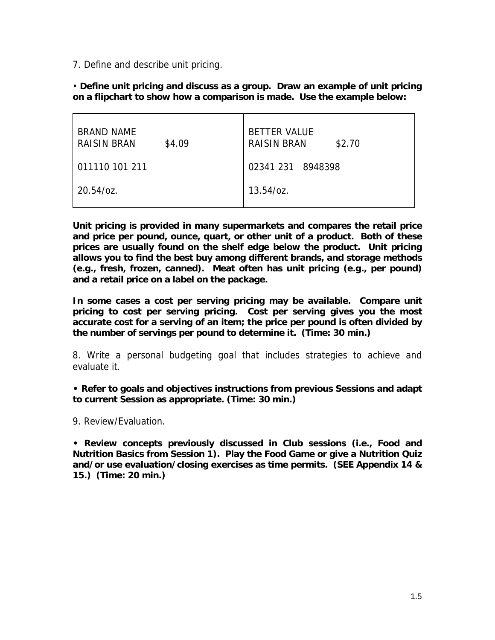7. Define and describe unit pricing.

• **Define unit pricing and discuss as a group. Draw an example of unit pricing on a flipchart to show how a comparison is made. Use the example below:** 

| <b>BRAND NAME</b><br>\$4.09<br>RAISIN BRAN | <b>BETTER VALUE</b><br><b>RAISIN BRAN</b><br>\$2.70 |
|--------------------------------------------|-----------------------------------------------------|
| 011110 101 211                             | 02341 231 8948398                                   |
| $20.54$ /oz.                               | $13.54$ /oz.                                        |

**Unit pricing is provided in many supermarkets and compares the retail price and price per pound, ounce, quart, or other unit of a product. Both of these prices are usually found on the shelf edge below the product. Unit pricing allows you to find the best buy among different brands, and storage methods (e.g., fresh, frozen, canned). Meat often has unit pricing (e.g., per pound) and a retail price on a label on the package.** 

**In some cases a cost per serving pricing may be available. Compare unit pricing to cost per serving pricing. Cost per serving gives you the most accurate cost for a serving of an item; the price per pound is often divided by the number of servings per pound to determine it. (Time: 30 min.)** 

8. Write a personal budgeting goal that includes strategies to achieve and evaluate it.

**• Refer to goals and objectives instructions from previous Sessions and adapt to current Session as appropriate. (Time: 30 min.)** 

9. Review/Evaluation.

**• Review concepts previously discussed in Club sessions (i.e., Food and Nutrition Basics from Session 1). Play the Food Game or give a Nutrition Quiz and/or use evaluation/closing exercises as time permits. (SEE Appendix 14 & 15.) (Time: 20 min.)**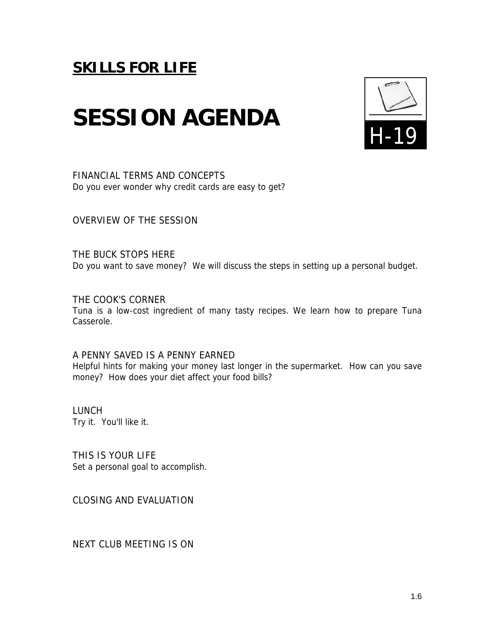## **SESSION AGENDA**



FINANCIAL TERMS AND CONCEPTS Do you ever wonder why credit cards are easy to get?

OVERVIEW OF THE SESSION

THE BUCK STOPS HERE Do you want to save money? We will discuss the steps in setting up a personal budget.

THE COOK'S CORNER Tuna is a low-cost ingredient of many tasty recipes. We learn how to prepare Tuna Casserole.

A PENNY SAVED IS A PENNY EARNED

Helpful hints for making your money last longer in the supermarket. How can you save money? How does your diet affect your food bills?

LUNCH Try it. You'll like it.

THIS IS YOUR LIFE Set a personal goal to accomplish.

CLOSING AND EVALUATION

NEXT CLUB MEETING IS ON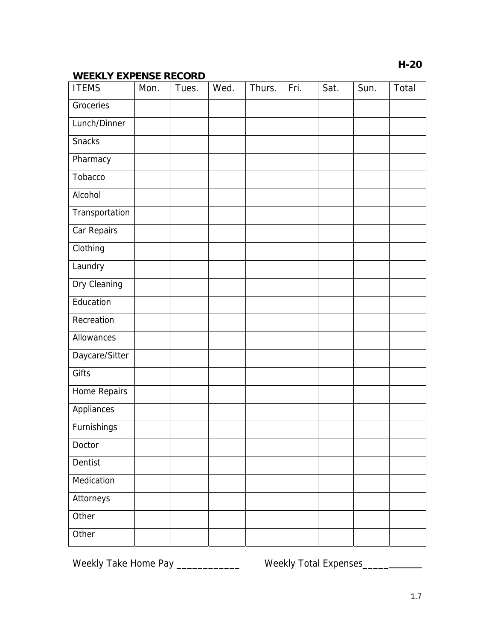#### **WEEKLY EXPENSE RECORD**

| <b>ITEMS</b>   | Mon. | Tues. | Wed. | Thurs. | Fri. | Sat. | Sun. | Total |
|----------------|------|-------|------|--------|------|------|------|-------|
| Groceries      |      |       |      |        |      |      |      |       |
| Lunch/Dinner   |      |       |      |        |      |      |      |       |
| <b>Snacks</b>  |      |       |      |        |      |      |      |       |
| Pharmacy       |      |       |      |        |      |      |      |       |
| Tobacco        |      |       |      |        |      |      |      |       |
| Alcohol        |      |       |      |        |      |      |      |       |
| Transportation |      |       |      |        |      |      |      |       |
| Car Repairs    |      |       |      |        |      |      |      |       |
| Clothing       |      |       |      |        |      |      |      |       |
| Laundry        |      |       |      |        |      |      |      |       |
| Dry Cleaning   |      |       |      |        |      |      |      |       |
| Education      |      |       |      |        |      |      |      |       |
| Recreation     |      |       |      |        |      |      |      |       |
| Allowances     |      |       |      |        |      |      |      |       |
| Daycare/Sitter |      |       |      |        |      |      |      |       |
| Gifts          |      |       |      |        |      |      |      |       |
| Home Repairs   |      |       |      |        |      |      |      |       |
| Appliances     |      |       |      |        |      |      |      |       |
| Furnishings    |      |       |      |        |      |      |      |       |
| Doctor         |      |       |      |        |      |      |      |       |
| Dentist        |      |       |      |        |      |      |      |       |
| Medication     |      |       |      |        |      |      |      |       |
| Attorneys      |      |       |      |        |      |      |      |       |
| Other          |      |       |      |        |      |      |      |       |
| Other          |      |       |      |        |      |      |      |       |

Weekly Take Home Pay \_\_\_\_\_\_\_\_\_\_\_\_\_\_ Weekly Total Expenses\_\_\_\_\_\_\_\_\_\_\_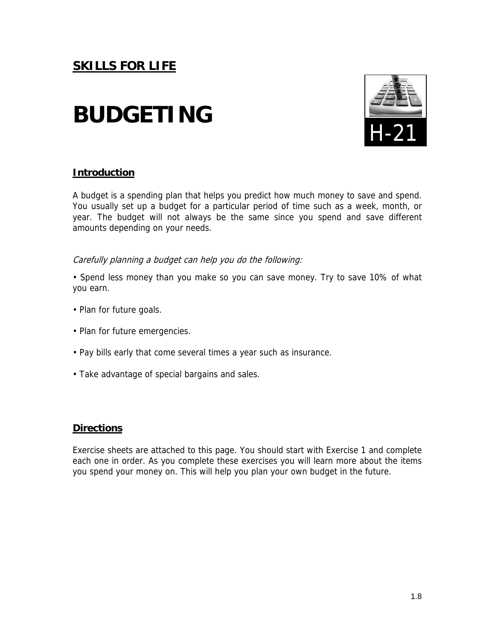# **BUDGETING**



#### **Introduction**

A budget is a spending plan that helps you predict how much money to save and spend. You usually set up a budget for a particular period of time such as a week, month, or year. The budget will not always be the same since you spend and save different amounts depending on your needs.

#### Carefully planning a budget can help you do the following:

• Spend less money than you make so you can save money. Try to save 10% of what you earn.

- Plan for future goals.
- Plan for future emergencies.
- Pay bills early that come several times a year such as insurance.
- Take advantage of special bargains and sales.

#### **Directions**

Exercise sheets are attached to this page. You should start with Exercise 1 and complete each one in order. As you complete these exercises you will learn more about the items you spend your money on. This will help you plan your own budget in the future.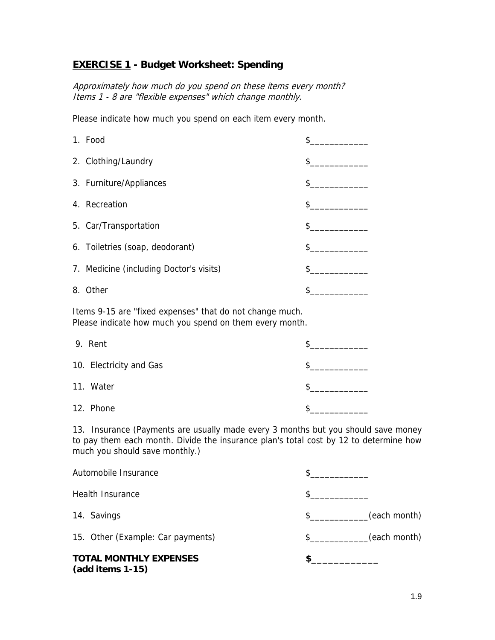#### **EXERCISE 1 - Budget Worksheet: Spending**

Approximately how much do you spend on these items every month? Items 1 - 8 are "flexible expenses" which change monthly.

Please indicate how much you spend on each item every month.

| 1. Food                                 | \$ |
|-----------------------------------------|----|
| 2. Clothing/Laundry                     | \$ |
| 3. Furniture/Appliances                 | \$ |
| 4. Recreation                           | \$ |
| 5. Car/Transportation                   | \$ |
| 6. Toiletries (soap, deodorant)         | \$ |
| 7. Medicine (including Doctor's visits) | \$ |
| 8. Other                                | \$ |

Items 9-15 are "fixed expenses" that do not change much. Please indicate how much you spend on them every month.

| 9. Rent                 |  |
|-------------------------|--|
| 10. Electricity and Gas |  |
| 11. Water               |  |
| 12. Phone               |  |

13. Insurance (Payments are usually made every 3 months but you should save money to pay them each month. Divide the insurance plan's total cost by 12 to determine how much you should save monthly.)

| <b>TOTAL MONTHLY EXPENSES</b><br>$(add items 1-15)$ |                        |
|-----------------------------------------------------|------------------------|
| 15. Other (Example: Car payments)                   | (each month)<br>$\sim$ |
| 14. Savings                                         | (each month)<br>$\sim$ |
| Health Insurance                                    | $\sim$                 |
| Automobile Insurance                                |                        |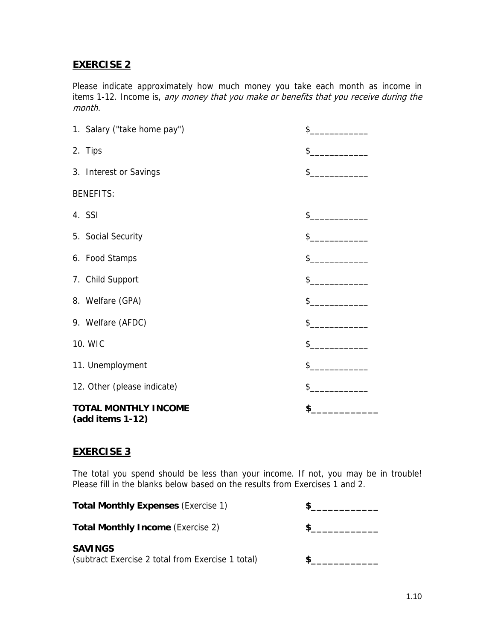#### **EXERCISE 2**

Please indicate approximately how much money you take each month as income in items 1-12. Income is, any money that you make or benefits that you receive during the month.

| <b>TOTAL MONTHLY INCOME</b><br>(add items 1-12) | \$                                                                                                                                                                                                                                                                                                                                                                                                                                                                                                                              |
|-------------------------------------------------|---------------------------------------------------------------------------------------------------------------------------------------------------------------------------------------------------------------------------------------------------------------------------------------------------------------------------------------------------------------------------------------------------------------------------------------------------------------------------------------------------------------------------------|
| 12. Other (please indicate)                     | $\begin{picture}(20,20) \put(0,0){\line(1,0){10}} \put(15,0){\line(1,0){10}} \put(15,0){\line(1,0){10}} \put(15,0){\line(1,0){10}} \put(15,0){\line(1,0){10}} \put(15,0){\line(1,0){10}} \put(15,0){\line(1,0){10}} \put(15,0){\line(1,0){10}} \put(15,0){\line(1,0){10}} \put(15,0){\line(1,0){10}} \put(15,0){\line(1,0){10}} \put(15,0){\line(1$                                                                                                                                                                             |
| 11. Unemployment                                | $\frac{1}{2}$                                                                                                                                                                                                                                                                                                                                                                                                                                                                                                                   |
| 10. WIC                                         | $\sim$                                                                                                                                                                                                                                                                                                                                                                                                                                                                                                                          |
| 9. Welfare (AFDC)                               | $\frac{1}{2}$                                                                                                                                                                                                                                                                                                                                                                                                                                                                                                                   |
| 8. Welfare (GPA)                                | $\sim$                                                                                                                                                                                                                                                                                                                                                                                                                                                                                                                          |
| 7. Child Support                                | $\frac{1}{2}$                                                                                                                                                                                                                                                                                                                                                                                                                                                                                                                   |
| 6. Food Stamps                                  | $\begin{array}{c c c c c} \hline \multicolumn{3}{c }{\textbf{\footnotesize{S}}}\quad\quad & \multicolumn{3}{c }{\textbf{\footnotesize{S}}}\quad\quad & \multicolumn{3}{c }{\textbf{\footnotesize{S}}}\quad\quad & \multicolumn{3}{c }{\textbf{\footnotesize{S}}}\quad\quad & \multicolumn{3}{c }{\textbf{\footnotesize{S}}}\quad\quad & \multicolumn{3}{c }{\textbf{\footnotesize{S}}}\quad\quad & \multicolumn{3}{c }{\textbf{\footnotesize{S}}}\quad\quad & \multicolumn{3}{c }{\textbf{\footnotesize{S}}}\quad\quad & \mult$ |
| 5. Social Security                              | $\frac{1}{2}$                                                                                                                                                                                                                                                                                                                                                                                                                                                                                                                   |
| 4. SSI                                          | $\frac{1}{2}$                                                                                                                                                                                                                                                                                                                                                                                                                                                                                                                   |
| <b>BENEFITS:</b>                                |                                                                                                                                                                                                                                                                                                                                                                                                                                                                                                                                 |
| 3. Interest or Savings                          | $\frac{1}{2}$                                                                                                                                                                                                                                                                                                                                                                                                                                                                                                                   |
| 2. Tips                                         | \$                                                                                                                                                                                                                                                                                                                                                                                                                                                                                                                              |
| 1. Salary ("take home pay")                     | \$                                                                                                                                                                                                                                                                                                                                                                                                                                                                                                                              |

#### **EXERCISE 3**

The total you spend should be less than your income. If not, you may be in trouble! Please fill in the blanks below based on the results from Exercises 1 and 2.

| <b>Total Monthly Expenses (Exercise 1)</b>        |  |
|---------------------------------------------------|--|
| <b>Total Monthly Income (Exercise 2)</b>          |  |
| <b>SAVINGS</b>                                    |  |
| (subtract Exercise 2 total from Exercise 1 total) |  |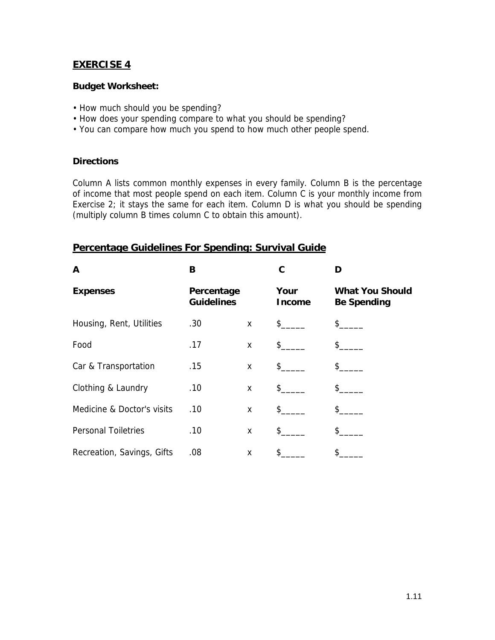#### **EXERCISE 4**

#### **Budget Worksheet:**

- How much should you be spending?
- How does your spending compare to what you should be spending?
- You can compare how much you spend to how much other people spend.

#### **Directions**

Column A lists common monthly expenses in every family. Column B is the percentage of income that most people spend on each item. Column C is your monthly income from Exercise 2; it stays the same for each item. Column D is what you should be spending (multiply column B times column C to obtain this amount).

#### **Percentage Guidelines For Spending: Survival Guide**

| $\mathbf{A}$               | B                               |   | С                     | D                                            |
|----------------------------|---------------------------------|---|-----------------------|----------------------------------------------|
| <b>Expenses</b>            | Percentage<br><b>Guidelines</b> |   | Your<br><b>Income</b> | <b>What You Should</b><br><b>Be Spending</b> |
| Housing, Rent, Utilities   | .30                             | X | $\frac{1}{2}$         | \$                                           |
| Food                       | .17                             | X | $$^{\circ}$           | \$                                           |
| Car & Transportation       | .15                             | X | \$                    | \$                                           |
| Clothing & Laundry         | .10                             | X | \$                    | $\mathsf{\$}$                                |
| Medicine & Doctor's visits | .10                             | X | \$                    | \$                                           |
| <b>Personal Toiletries</b> | .10                             | X | \$                    | \$                                           |
| Recreation, Savings, Gifts | .08                             | X | \$                    | \$                                           |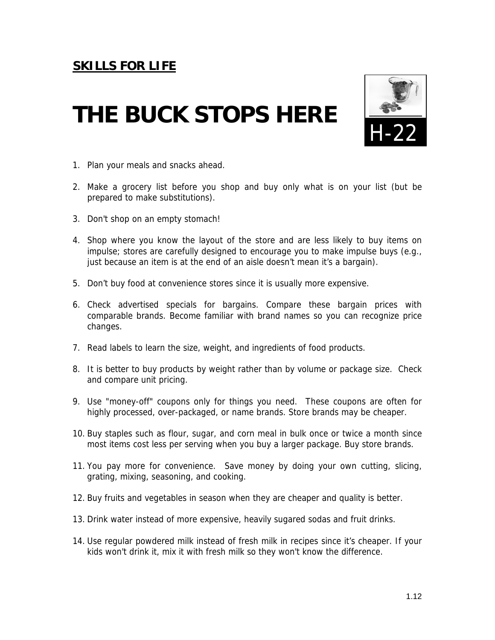# **THE BUCK STOPS HERE**



- 1. Plan your meals and snacks ahead.
- 2. Make a grocery list before you shop and buy only what is on your list (but be prepared to make substitutions).
- 3. Don't shop on an empty stomach!
- 4. Shop where you know the layout of the store and are less likely to buy items on impulse; stores are carefully designed to encourage you to make impulse buys (e.g., just because an item is at the end of an aisle doesn't mean it's a bargain).
- 5. Don't buy food at convenience stores since it is usually more expensive.
- 6. Check advertised specials for bargains. Compare these bargain prices with comparable brands. Become familiar with brand names so you can recognize price changes.
- 7. Read labels to learn the size, weight, and ingredients of food products.
- 8. It is better to buy products by weight rather than by volume or package size. Check and compare unit pricing.
- 9. Use "money-off" coupons only for things you need. These coupons are often for highly processed, over-packaged, or name brands. Store brands may be cheaper.
- 10. Buy staples such as flour, sugar, and corn meal in bulk once or twice a month since most items cost less per serving when you buy a larger package. Buy store brands.
- 11. You pay more for convenience. Save money by doing your own cutting, slicing, grating, mixing, seasoning, and cooking.
- 12. Buy fruits and vegetables in season when they are cheaper and quality is better.
- 13. Drink water instead of more expensive, heavily sugared sodas and fruit drinks.
- 14. Use regular powdered milk instead of fresh milk in recipes since it's cheaper. If your kids won't drink it, mix it with fresh milk so they won't know the difference.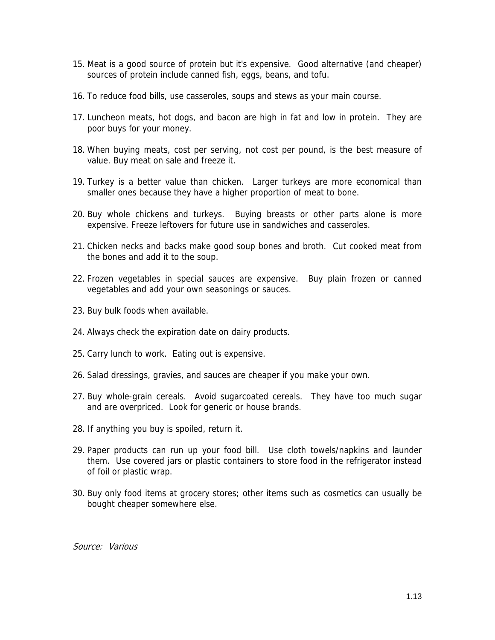- 15. Meat is a good source of protein but it's expensive. Good alternative (and cheaper) sources of protein include canned fish, eggs, beans, and tofu.
- 16. To reduce food bills, use casseroles, soups and stews as your main course.
- 17. Luncheon meats, hot dogs, and bacon are high in fat and low in protein. They are poor buys for your money.
- 18. When buying meats, cost per serving, not cost per pound, is the best measure of value. Buy meat on sale and freeze it.
- 19. Turkey is a better value than chicken. Larger turkeys are more economical than smaller ones because they have a higher proportion of meat to bone.
- 20. Buy whole chickens and turkeys. Buying breasts or other parts alone is more expensive. Freeze leftovers for future use in sandwiches and casseroles.
- 21. Chicken necks and backs make good soup bones and broth. Cut cooked meat from the bones and add it to the soup.
- 22. Frozen vegetables in special sauces are expensive. Buy plain frozen or canned vegetables and add your own seasonings or sauces.
- 23. Buy bulk foods when available.
- 24. Always check the expiration date on dairy products.
- 25. Carry lunch to work. Eating out is expensive.
- 26. Salad dressings, gravies, and sauces are cheaper if you make your own.
- 27. Buy whole-grain cereals. Avoid sugarcoated cereals. They have too much sugar and are overpriced. Look for generic or house brands.
- 28. If anything you buy is spoiled, return it.
- 29. Paper products can run up your food bill. Use cloth towels/napkins and launder them. Use covered jars or plastic containers to store food in the refrigerator instead of foil or plastic wrap.
- 30. Buy only food items at grocery stores; other items such as cosmetics can usually be bought cheaper somewhere else.

Source: Various